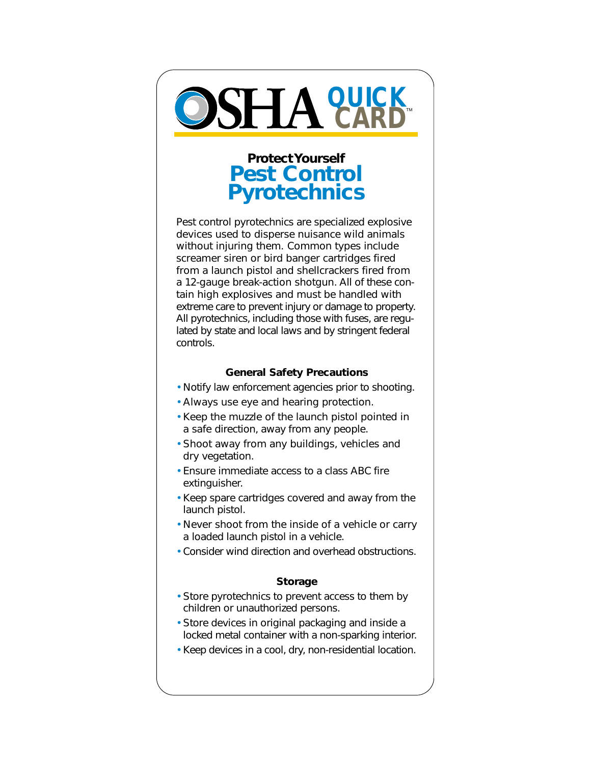

# **Protect Yourself Pest Control Pyrotechnics**

Pest control pyrotechnics are specialized explosive devices used to disperse nuisance wild animals without injuring them. Common types include screamer siren or bird banger cartridges fired from a launch pistol and shellcrackers fired from a 12-gauge break-action shotgun. All of these contain high explosives and must be handled with extreme care to prevent injury or damage to property. All pyrotechnics, including those with fuses, are regulated by state and local laws and by stringent federal controls.

#### **General Safety Precautions**

- Notify law enforcement agencies prior to shooting.
- Always use eye and hearing protection.
- Keep the muzzle of the launch pistol pointed in a safe direction, away from any people.
- Shoot away from any buildings, vehicles and dry vegetation.
- Ensure immediate access to a class ABC fire extinguisher.
- Keep spare cartridges covered and away from the launch pistol.
- Never shoot from the inside of a vehicle or carry a loaded launch pistol in a vehicle.
- Consider wind direction and overhead obstructions.

## **Storage**

- Store pyrotechnics to prevent access to them by children or unauthorized persons.
- Store devices in original packaging and inside a locked metal container with a non-sparking interior.
- Keep devices in a cool, dry, non-residential location.